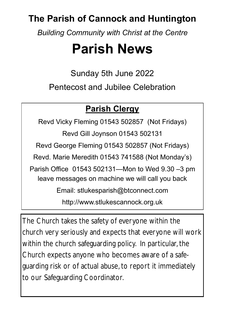# **The Parish of Cannock and Huntington**

*Building Community with Christ at the Centre*

# **Parish News**

Sunday 5th June 2022 Pentecost and Jubilee Celebration

# **Parish Clergy**

Revd Vicky Fleming 01543 502857 (Not Fridays) Revd Gill Joynson 01543 502131 Revd George Fleming 01543 502857 (Not Fridays) Revd. Marie Meredith 01543 741588 (Not Monday's) Parish Office 01543 502131—Mon to Wed 9.30 –3 pm leave messages on machine we will call you back Email: stlukesparish@btconnect.com

http://www.stlukescannock.org.uk

The Church takes the safety of everyone within the church very seriously and expects that everyone will work within the church safeguarding policy. In particular, the Church expects anyone who becomes aware of a safeguarding risk or of actual abuse, to report it immediately to our Safeguarding Coordinator.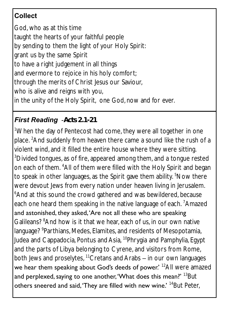# **Collect**

God, who as at this time taught the hearts of your faithful people by sending to them the light of your Holy Spirit: grant us by the same Spirit to have a right judgement in all things and evermore to rejoice in his holy comfort; through the merits of Christ Jesus our Saviour, who is alive and reigns with you, in the unity of the Holy Spirit, one God, now and for ever.

### *First Reading -Acts 2.1-21*

<sup>1</sup>When the day of Pentecost had come, they were all together in one place. <sup>2</sup>And suddenly from heaven there came a sound like the rush of a violent wind, and it filled the entire house where they were sitting. <sup>3</sup>Divided tongues, as of fire, appeared among them, and a tongue rested on each of them. <sup>4</sup>All of them were filled with the Holy Spirit and began to speak in other languages, as the Spirit gave them ability. <sup>5</sup>Now there were devout Jews from every nation under heaven living in Jerusalem. <sup>6</sup>And at this sound the crowd gathered and was bewildered, because each one heard them speaking in the native language of each. Amazed and astonished, they asked, 'Are not all these who are speaking Galileans? <sup>8</sup>And how is it that we hear, each of us, in our own native language? <sup>9</sup>Parthians, Medes, Elamites, and residents of Mesopotamia, Judea and Cappadocia, Pontus and Asia, <sup>10</sup>Phrygia and Pamphylia, Egypt and the parts of Libya belonging to Cyrene, and visitors from Rome, both Jews and proselytes,  $11$ Cretans and Arabs  $-$  in our own languages we hear them speaking about God's deeds of power.<sup>' 12</sup>All were amazed and perplexed, saying to one another, 'What does this mean?' <sup>13</sup>But others sneered and said, 'They are filled with new wine.' <sup>14</sup>But Peter,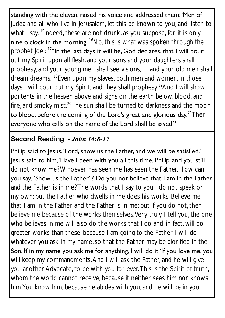standing with the eleven, raised his voice and addressed them: 'Men of Judea and all who live in Jerusalem, let this be known to you, and listen to what I say. <sup>15</sup>Indeed, these are not drunk, as you suppose, for it is only nine o'clock in the morning.  ${}^{16}$ No, this is what was spoken through the prophet Joel: 17"In the last days it will be, God declares, that I will pour out my Spirit upon all flesh, and your sons and your daughters shall prophesy, and your young men shall see visions, and your old men shall dream dreams. <sup>18</sup>Even upon my slaves, both men and women, in those days I will pour out my Spirit; and they shall prophesy.<sup>19</sup>And I will show portents in the heaven above and signs on the earth below, blood, and fire, and smoky mist.<sup>20</sup>The sun shall be turned to darkness and the moon to blood, before the coming of the Lord's great and glorious day. $21$ Then everyone who calls on the name of the Lord shall be saved."

#### **Second Reading -** *John 14:8-17*

Philip said to Jesus, 'Lord, show us the Father, and we will be satisfied.' Jesus said to him, 'Have I been with you all this time, Philip, and you still do not know me? Whoever has seen me has seen the Father. How can you say, "Show us the Father"? Do you not believe that I am in the Father and the Father is in me? The words that I say to you I do not speak on my own; but the Father who dwells in me does his works. Believe me that I am in the Father and the Father is in me; but if you do not, then believe me because of the works themselves. Very truly, I tell you, the one who believes in me will also do the works that I do and, in fact, will do greater works than these, because I am going to the Father. I will do whatever you ask in my name, so that the Father may be glorified in the Son. If in my name you ask me for anything, I will do it.'If you love me, you will keep my commandments. And I will ask the Father, and he will give you another Advocate, to be with you for ever. This is the Spirit of truth, whom the world cannot receive, because it neither sees him nor knows him. You know him, because he abides with you, and he will be in you.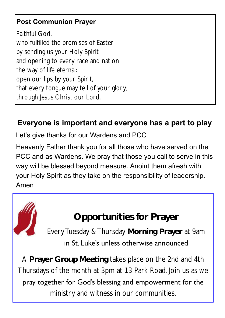## **Post Communion Prayer**

Faithful God, who fulfilled the promises of Easter by sending us your Holy Spirit and opening to every race and nation the way of life eternal: open our lips by your Spirit, that every tongue may tell of your glory; through Jesus Christ our Lord.

### **Everyone is important and everyone has a part to play**

Let's give thanks for our Wardens and PCC

Heavenly Father thank you for all those who have served on the PCC and as Wardens. We pray that those you call to serve in this way will be blessed beyond measure. Anoint them afresh with your Holy Spirit as they take on the responsibility of leadership. Amen

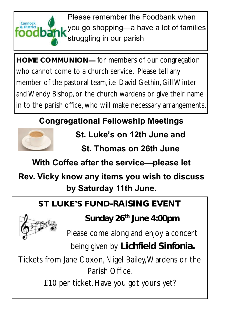

Please remember the Foodbank when you go shopping—a have a lot of families struggling in our parish

**HOME COMMUNION—** for members of our congregation who cannot come to a church service. Please tell any member of the pastoral team, i.e. David Gethin, Gill Winter and Wendy Bishop, or the church wardens or give their name in to the parish office, who will make necessary arrangements.

# **Congregational Fellowship Meetings**



**St. Luke's on 12th June and** 

**St. Thomas on 26th June**

**With Coffee after the service—please let** 

# **Rev. Vicky know any items you wish to discuss by Saturday 11th June.**

# **ST LUKE'S FUND-RAISING EVENT**



**Sunday 26th June 4:00pm**

Please come along and enjoy a concert

being given by **Lichfield Sinfonia.** 

Tickets from Jane Coxon, Nigel Bailey, Wardens or the Parish Office.

£10 per ticket. Have you got yours yet?

٦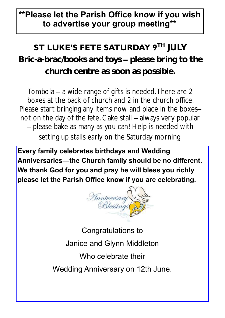# **\*\*Please let the Parish Office know if you wish to advertise your group meeting\*\***

# **ST LUKE'S FETE SATURDAY 9<sup>TH</sup> JULY**

**Bric-a-brac/books and toys – please bring to the church centre as soon as possible.**

Tombola – a wide range of gifts is needed. There are 2 boxes at the back of church and 2 in the church office. Please start bringing any items now and place in the boxes– not on the day of the fete. Cake stall – always very popular – please bake as many as you can! Help is needed with setting up stalls early on the Saturday morning.

**Every family celebrates birthdays and Wedding Anniversaries—the Church family should be no different. We thank God for you and pray he will bless you richly please let the Parish Office know if you are celebrating.**



Congratulations to Janice and Glynn Middleton Who celebrate their Wedding Anniversary on 12th June.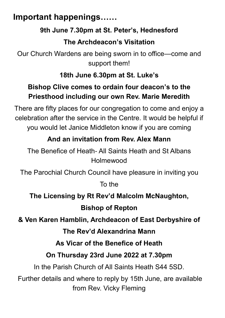# **Important happenings……**

#### **9th June 7.30pm at St. Peter's, Hednesford**

### **The Archdeacon's Visitation**

Our Church Wardens are being sworn in to office—come and support them!

### **18th June 6.30pm at St. Luke's**

## **Bishop Clive comes to ordain four deacon's to the Priesthood including our own Rev. Marie Meredith**

There are fifty places for our congregation to come and enjoy a celebration after the service in the Centre. It would be helpful if you would let Janice Middleton know if you are coming

## **And an invitation from Rev. Alex Mann**

The Benefice of Heath- All Saints Heath and St Albans Holmewood

The Parochial Church Council have pleasure in inviting you

To the

**The Licensing by Rt Rev'd Malcolm McNaughton, Bishop of Repton** 

**& Ven Karen Hamblin, Archdeacon of East Derbyshire of**

#### **The Rev'd Alexandrina Mann**

#### **As Vicar of the Benefice of Heath**

#### **On Thursday 23rd June 2022 at 7.30pm**

In the Parish Church of All Saints Heath S44 5SD.

Further details and where to reply by 15th June, are available from Rev. Vicky Fleming